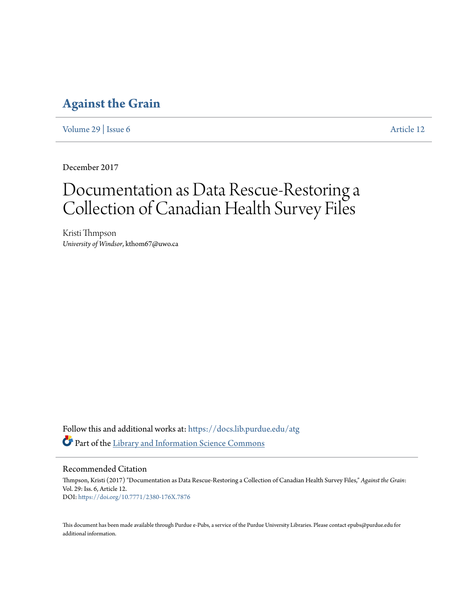# **[Against the Grain](https://docs.lib.purdue.edu/atg?utm_source=docs.lib.purdue.edu%2Fatg%2Fvol29%2Fiss6%2F12&utm_medium=PDF&utm_campaign=PDFCoverPages)**

[Volume 29](https://docs.lib.purdue.edu/atg/vol29?utm_source=docs.lib.purdue.edu%2Fatg%2Fvol29%2Fiss6%2F12&utm_medium=PDF&utm_campaign=PDFCoverPages) | [Issue 6](https://docs.lib.purdue.edu/atg/vol29/iss6?utm_source=docs.lib.purdue.edu%2Fatg%2Fvol29%2Fiss6%2F12&utm_medium=PDF&utm_campaign=PDFCoverPages) [Article 12](https://docs.lib.purdue.edu/atg/vol29/iss6/12?utm_source=docs.lib.purdue.edu%2Fatg%2Fvol29%2Fiss6%2F12&utm_medium=PDF&utm_campaign=PDFCoverPages)

December 2017

# Documentation as Data Rescue-Restoring a Collection of Canadian Health Survey Files

Kristi Thmpson *University of Windsor*, kthom67@uwo.ca

Follow this and additional works at: [https://docs.lib.purdue.edu/atg](https://docs.lib.purdue.edu/atg?utm_source=docs.lib.purdue.edu%2Fatg%2Fvol29%2Fiss6%2F12&utm_medium=PDF&utm_campaign=PDFCoverPages) Part of the [Library and Information Science Commons](http://network.bepress.com/hgg/discipline/1018?utm_source=docs.lib.purdue.edu%2Fatg%2Fvol29%2Fiss6%2F12&utm_medium=PDF&utm_campaign=PDFCoverPages)

Recommended Citation

Thmpson, Kristi (2017) "Documentation as Data Rescue-Restoring a Collection of Canadian Health Survey Files," *Against the Grain*: Vol. 29: Iss. 6, Article 12. DOI: <https://doi.org/10.7771/2380-176X.7876>

This document has been made available through Purdue e-Pubs, a service of the Purdue University Libraries. Please contact epubs@purdue.edu for additional information.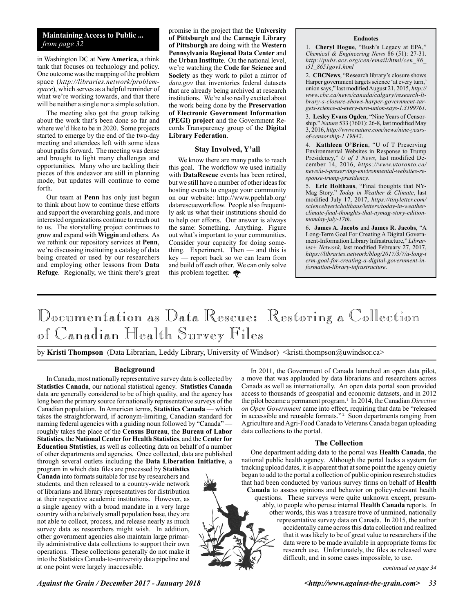### **Maintaining Access to Public ...** *from page 32*

in Washington DC at **New America,** a think tank that focuses on technology and policy. One outcome was the mapping of the problem space (*http://libraries.network/problemspace*), which serves as a helpful reminder of what we're working towards, and that there will be neither a single nor a simple solution.

The meeting also got the group talking about the work that's been done so far and where we'd like to be in 2020. Some projects started to emerge by the end of the two-day meeting and attendees left with some ideas about paths forward. The meeting was dense and brought to light many challenges and opportunities. Many who are tackling their pieces of this endeavor are still in planning mode, but updates will continue to come forth.

Our team at **Penn** has only just begun to think about how to continue these efforts and support the overarching goals, and more interested organizations continue to reach out to us. The storytelling project continues to grow and expand with **Wiggin** and others. As we rethink our repository services at **Penn**, we're discussing instituting a catalog of data being created or used by our researchers and employing other lessons from **Data Refuge**. Regionally, we think there's great promise in the project that the **University of Pittsburgh** and the **Carnegie Library of Pittsburgh** are doing with the **Western Pennsylvania Regional Data Center** and the **Urban Institute**. On the national level, we're watching the **Code for Science and Society** as they work to pilot a mirror of *data.gov* that inventories federal datasets that are already being archived at research institutions. We're also really excited about the work being done by the **Preservation of Electronic Government Information (PEGI) project** and the Government Records Transparency group of the **Digital Library Federation**.

#### **Stay Involved, Y'all**

We know there are many paths to reach this goal. The workflow we used initially with **DataRescue** events has been retired, but we still have a number of other ideas for hosting events to engage your community on our website: http://www.ppehlab.org/ datarescueworkflow. People also frequently ask us what their institutions should do to help our efforts. Our answer is always the same: Something. Anything. Figure out what's important to your communities. Consider your capacity for doing something. Experiment. Then — and this is key — report back so we can learn from and build off each other. We can only solve this problem together.

#### **Endnotes**

1. **Cheryl Hogue**, "Bush's Legacy at EPA," *Chemical & Engineering News* 86 (51): 27-31. *http://pubs.acs.org/cen/email/html/cen\_86\_ i51\_8651gov1.html*

2. **CBCNews**, "Research library's closure shows Harper government targets science 'at every turn,' union says," last modified August 21, 2015, *http:// www.cbc.ca/news/canada/calgary/research-library-s-closure-shows-harper-government-targets-science-at-every-turn-union-says-1.3199761*.

3. **Lesley Evans Ogden**, "Nine Years of Censorship." *Nature* 533 (7601): 26-8, last modified May 3, 2016, *http://www.nature.com/news/nine-yearsof-censorship-1.19842*.

4. **Kathleen O'Brien**, "U of T Preserving Environmental Websites in Response to Trump Presidency," *U of T News,* last modified December 14, 2016, *https://www.utoronto.ca/ news/u-t-preserving-environmental-websites-response-trump-presidency*.

5. **Eric Holthaus**, "Final thoughts that NY-Mag Story." *Today in Weather & Climate*, last modified July 17, 2017, *https://tinyletter.com/ sciencebyericholthaus/letters/today-in-weatherclimate-final-thoughts-that-nymag-story-editionmonday-july-17th*.

6. **James A. Jacobs** and **James R. Jacobs**, "A Long-Term Goal For Creating A Digital Government-Information Library Infrastructure," *Libraries+ Network*, last modified February 27, 2017, *https://libraries.network/blog/2017/3/7/a-long-t erm-goal-for-creating-a-digital-government-information-library-infrastructure*.

# Documentation as Data Rescue: Restoring a Collection of Canadian Health Survey Files

by Kristi Thompson (Data Librarian, Leddy Library, University of Windsor) <kristi.thompson@uwindsor.ca>

### **Background**

In Canada, most nationally representative survey data is collected by **Statistics Canada**, our national statistical agency. **Statistics Canada** data are generally considered to be of high quality, and the agency has long been the primary source for nationally representative surveys of the Canadian population. In American terms, **Statistics Canada** — which takes the straightforward, if acronym-limiting, Canadian standard for naming federal agencies with a guiding noun followed by "Canada" roughly takes the place of the **Census Bureau**, the **Bureau of Labor Statistics**, the **National Center for Health Statistics**, and the **Center for Education Statistics**, as well as collecting data on behalf of a number of other departments and agencies. Once collected, data are published through several outlets including the **Data Liberation Initiative**, a

program in which data files are processed by **Statistics Canada** into formats suitable for use by researchers and students, and then released to a country-wide network of librarians and library representatives for distribution at their respective academic institutions. However, as a single agency with a broad mandate in a very large country with a relatively small population base, they are not able to collect, process, and release nearly as much survey data as researchers might wish. In addition, other government agencies also maintain large primarily administrative data collections to support their own operations. These collections generally do not make it into the Statistics Canada-to-university data pipeline and at one point were largely inaccessible.

In 2011, the Government of Canada launched an open data pilot, a move that was applauded by data librarians and researchers across Canada as well as internationally. An open data portal soon provided access to thousands of geospatial and economic datasets, and in 2012 the pilot became a permanent program.<sup>1</sup> In 2014, the Canadian *Directive on Open Government* came into effect, requiring that data be "released in accessible and reusable formats."<sup>2</sup> Soon departments ranging from Agriculture and Agri-Food Canada to Veterans Canada began uploading data collections to the portal.

#### **The Collection**

One department adding data to the portal was **Health Canada**, the national public health agency. Although the portal lacks a system for tracking upload dates, it is apparent that at some point the agency quietly began to add to the portal a collection of public opinion research studies that had been conducted by various survey firms on behalf of **Health Canada** to assess opinions and behavior on policy-relevant health questions. These surveys were quite unknown except, presumably, to people who peruse internal **Health Canada** reports. In other words, this was a treasure trove of unmined, nationally representative survey data on Canada. In 2015, the author accidentally came across this data collection and realized that it was likely to be of great value to researchers if the data were to be made available in appropriate forms for research use. Unfortunately, the files as released were difficult, and in some cases impossible, to use.

*continued on page 34*

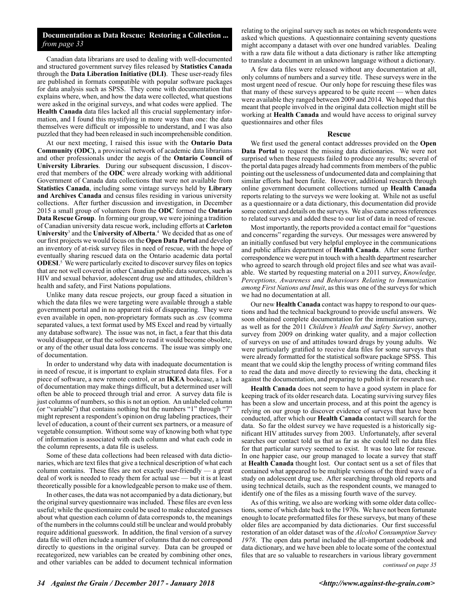### **Documentation as Data Rescue: Restoring a Collection ...** *from page 33*

Canadian data librarians are used to dealing with well-documented and structured government survey files released by **Statistics Canada** through the **Data Liberation Initiative (DLI)**. These user-ready files are published in formats compatible with popular software packages for data analysis such as SPSS. They come with documentation that explains where, when, and how the data were collected, what questions were asked in the original surveys, and what codes were applied. The **Health Canada** data files lacked all this crucial supplementary information, and I found this mystifying in more ways than one: the data themselves were difficult or impossible to understand, and I was also puzzled that they had been released in such incomprehensible condition.

At our next meeting, I raised this issue with the **Ontario Data Community (ODC)**, a provincial network of academic data librarians and other professionals under the aegis of the **Ontario Council of University Libraries**. During our subsequent discussion, I discovered that members of the **ODC** were already working with additional Government of Canada data collections that were not available from **Statistics Canada**, including some vintage surveys held by **Library and Archives Canada** and census files residing in various university collections. After further discussion and investigation, in December 2015 a small group of volunteers from the **ODC** formed the **Ontario Data Rescue Group**. In forming our group, we were joining a tradition of Canadian university data rescue work, including efforts at **Carleton University**<sup>3</sup> and the **University of Alberta**. 4 We decided that as one of our first projects we would focus on the **Open Data Portal** and develop an inventory of at-risk survey files in need of rescue, with the hope of eventually sharing rescued data on the Ontario academic data portal **ODESI**.<sup>5</sup> We were particularly excited to discover survey files on topics that are not well covered in other Canadian public data sources, such as HIV and sexual behavior, adolescent drug use and attitudes, children's health and safety, and First Nations populations.

Unlike many data rescue projects, our group faced a situation in which the data files we were targeting were available through a stable government portal and in no apparent risk of disappearing. They were even available in open, non-proprietary formats such as .csv (comma separated values, a text format used by MS Excel and read by virtually any database software). The issue was not, in fact, a fear that this data would disappear, or that the software to read it would become obsolete, or any of the other usual data loss concerns. The issue was simply one of documentation.

In order to understand why data with inadequate documentation is in need of rescue, it is important to explain structured data files. For a piece of software, a new remote control, or an **IKEA** bookcase, a lack of documentation may make things difficult, but a determined user will often be able to proceed through trial and error. A survey data file is just columns of numbers, so this is not an option. An unlabeled column (or "variable") that contains nothing but the numbers "1" through "7" might represent a respondent's opinion on drug labeling practices, their level of education, a count of their current sex partners, or a measure of vegetable consumption. Without some way of knowing both what type of information is associated with each column and what each code in the column represents, a data file is useless.

Some of these data collections had been released with data dictionaries, which are text files that give a technical description of what each column contains. These files are not exactly user-friendly — a great deal of work is needed to ready them for actual use — but it is at least theoretically possible for a knowledgeable person to make use of them.

In other cases, the data was not accompanied by a data dictionary, but the original survey questionnaire was included. These files are even less useful; while the questionnaire could be used to make educated guesses about what question each column of data corresponds to, the meanings of the numbers in the columns could still be unclear and would probably require additional guesswork. In addition, the final version of a survey data file will often include a number of columns that do not correspond directly to questions in the original survey. Data can be grouped or recategorized, new variables can be created by combining other ones, and other variables can be added to document technical information relating to the original survey such as notes on which respondents were asked which questions. A questionnaire containing seventy questions might accompany a dataset with over one hundred variables. Dealing with a raw data file without a data dictionary is rather like attempting to translate a document in an unknown language without a dictionary.

A few data files were released without any documentation at all, only columns of numbers and a survey title. These surveys were in the most urgent need of rescue. Our only hope for rescuing these files was that many of these surveys appeared to be quite recent — when dates were available they ranged between 2009 and 2014. We hoped that this meant that people involved in the original data collection might still be working at **Health Canada** and would have access to original survey questionnaires and other files

#### **Rescue**

We first used the general contact addresses provided on the **Open Data Portal** to request the missing data dictionaries. We were not surprised when these requests failed to produce any results; several of the portal data pages already had comments from members of the public pointing out the uselessness of undocumented data and complaining that similar efforts had been futile. However, additional research through online government document collections turned up **Health Canada** reports relating to the surveys we were looking at. While not as useful as a questionnaire or a data dictionary, this documentation did provide some context and details on the surveys. We also came across references to related surveys and added these to our list of data in need of rescue.

Most importantly, the reports provided a contact email for "questions and concerns" regarding the surveys. Our messages were answered by an initially confused but very helpful employee in the communications and public affairs department of **Health Canada**. After some further correspondence we were put in touch with a health department researcher who agreed to search through old project files and see what was available. We started by requesting material on a 2011 survey, *Knowledge, Perceptions, Awareness and Behaviours Relating to Immunization among First Nations and Inuit*, as this was one of the surveys for which we had no documentation at all.

Our new **Health Canada** contact was happy to respond to our questions and had the technical background to provide useful answers. We soon obtained complete documentation for the immunization survey, as well as for the 2011 *Children's Health and Safety Survey*, another survey from 2009 on drinking water quality, and a major collection of surveys on use of and attitudes toward drugs by young adults. We were particularly gratified to receive data files for some surveys that were already formatted for the statistical software package SPSS. This meant that we could skip the lengthy process of writing command files to read the data and move directly to reviewing the data, checking it against the documentation, and preparing to publish it for research use.

**Health Canada** does not seem to have a good system in place for keeping track of its older research data. Locating surviving survey files has been a slow and uncertain process, and at this point the agency is relying on our group to discover evidence of surveys that have been conducted, after which our **Health Canada** contact will search for the data. So far the oldest survey we have requested is a historically significant HIV attitudes survey from 2003. Unfortunately, after several searches our contact told us that as far as she could tell no data files for that particular survey seemed to exist. It was too late for rescue. In one happier case, our group managed to locate a survey that staff at **Health Canada** thought lost. Our contact sent us a set of files that contained what appeared to be multiple versions of the third wave of a study on adolescent drug use. After searching through old reports and using technical details, such as the respondent counts, we managed to identify one of the files as a missing fourth wave of the survey.

As of this writing, we also are working with some older data collections, some of which date back to the 1970s. We have not been fortunate enough to locate preformatted files for these surveys, but many of these older files are accompanied by data dictionaries. Our first successful restoration of an older dataset was of the *Alcohol Consumption Survey 1978*. The open data portal included the all-important codebook and data dictionary, and we have been able to locate some of the contextual files that are so valuable to researchers in various library government

*continued on page 35*